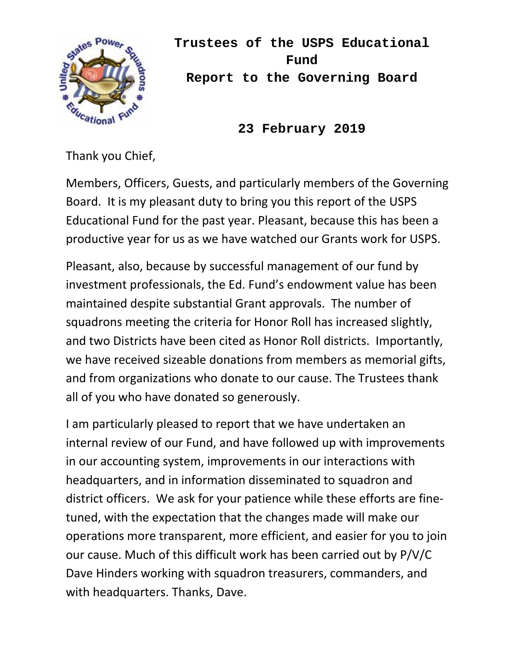

**Trustees of the USPS Educational Fund Report to the Governing Board** 

**23 February 2019**

Thank you Chief,

Members, Officers, Guests, and particularly members of the Governing Board. It is my pleasant duty to bring you this report of the USPS Educational Fund for the past year. Pleasant, because this has been a productive year for us as we have watched our Grants work for USPS.

Pleasant, also, because by successful management of our fund by investment professionals, the Ed. Fund's endowment value has been maintained despite substantial Grant approvals. The number of squadrons meeting the criteria for Honor Roll has increased slightly, and two Districts have been cited as Honor Roll districts. Importantly, we have received sizeable donations from members as memorial gifts, and from organizations who donate to our cause. The Trustees thank all of you who have donated so generously.

I am particularly pleased to report that we have undertaken an internal review of our Fund, and have followed up with improvements in our accounting system, improvements in our interactions with headquarters, and in information disseminated to squadron and district officers. We ask for your patience while these efforts are fine‐ tuned, with the expectation that the changes made will make our operations more transparent, more efficient, and easier for you to join our cause. Much of this difficult work has been carried out by P/V/C Dave Hinders working with squadron treasurers, commanders, and with headquarters. Thanks, Dave.